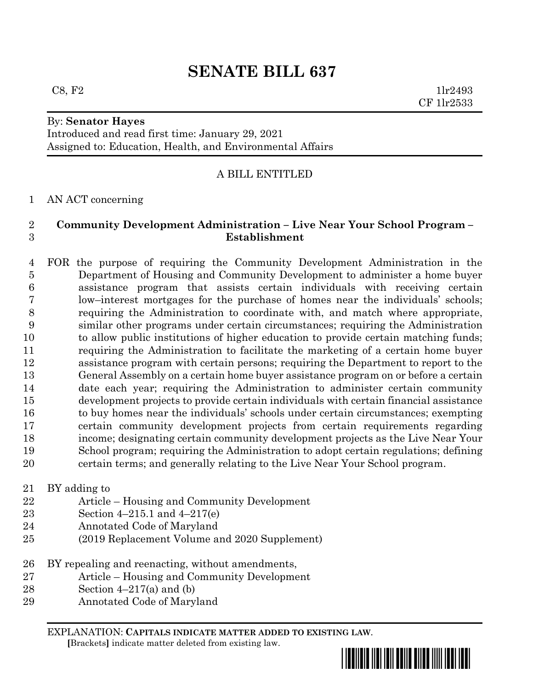# **SENATE BILL 637**

#### By: **Senator Hayes**

Introduced and read first time: January 29, 2021 Assigned to: Education, Health, and Environmental Affairs

## A BILL ENTITLED

#### AN ACT concerning

## **Community Development Administration – Live Near Your School Program – Establishment**

 FOR the purpose of requiring the Community Development Administration in the Department of Housing and Community Development to administer a home buyer assistance program that assists certain individuals with receiving certain low–interest mortgages for the purchase of homes near the individuals' schools; requiring the Administration to coordinate with, and match where appropriate, similar other programs under certain circumstances; requiring the Administration to allow public institutions of higher education to provide certain matching funds; requiring the Administration to facilitate the marketing of a certain home buyer assistance program with certain persons; requiring the Department to report to the General Assembly on a certain home buyer assistance program on or before a certain date each year; requiring the Administration to administer certain community development projects to provide certain individuals with certain financial assistance to buy homes near the individuals' schools under certain circumstances; exempting certain community development projects from certain requirements regarding income; designating certain community development projects as the Live Near Your School program; requiring the Administration to adopt certain regulations; defining certain terms; and generally relating to the Live Near Your School program.

BY adding to

- Article Housing and Community Development
- Section 4–215.1 and 4–217(e)
- Annotated Code of Maryland
- (2019 Replacement Volume and 2020 Supplement)
- BY repealing and reenacting, without amendments,
- Article Housing and Community Development
- 28 Section  $4-217(a)$  and (b)
- Annotated Code of Maryland

EXPLANATION: **CAPITALS INDICATE MATTER ADDED TO EXISTING LAW**.  **[**Brackets**]** indicate matter deleted from existing law.



 $C8, F2$  1lr2493 CF 1lr2533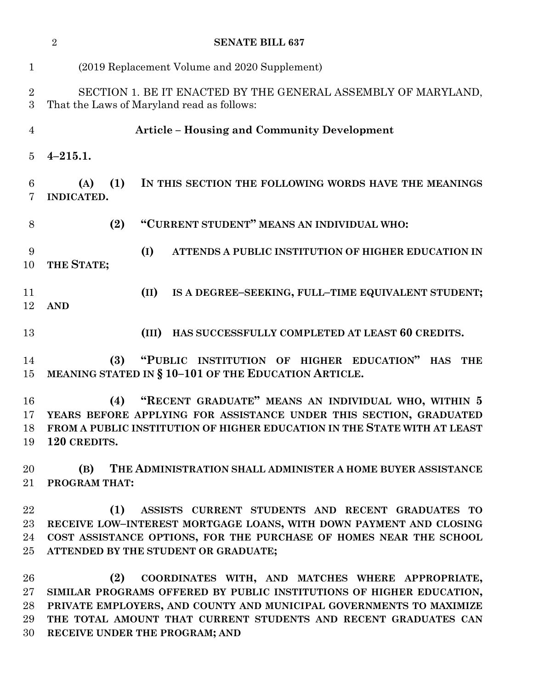|                                | $\overline{2}$<br><b>SENATE BILL 637</b>                                                                                                                                                                                                                                                                    |
|--------------------------------|-------------------------------------------------------------------------------------------------------------------------------------------------------------------------------------------------------------------------------------------------------------------------------------------------------------|
| $\mathbf{1}$                   | (2019 Replacement Volume and 2020 Supplement)                                                                                                                                                                                                                                                               |
| $\overline{2}$<br>3            | SECTION 1. BE IT ENACTED BY THE GENERAL ASSEMBLY OF MARYLAND,<br>That the Laws of Maryland read as follows:                                                                                                                                                                                                 |
| $\overline{4}$                 | <b>Article - Housing and Community Development</b>                                                                                                                                                                                                                                                          |
| $\overline{5}$                 | $4 - 215.1.$                                                                                                                                                                                                                                                                                                |
| 6<br>7                         | (A)<br>(1)<br>IN THIS SECTION THE FOLLOWING WORDS HAVE THE MEANINGS<br>INDICATED.                                                                                                                                                                                                                           |
| $8\,$                          | "CURRENT STUDENT" MEANS AN INDIVIDUAL WHO:<br>(2)                                                                                                                                                                                                                                                           |
| 9<br>10                        | (I)<br>ATTENDS A PUBLIC INSTITUTION OF HIGHER EDUCATION IN<br>THE STATE;                                                                                                                                                                                                                                    |
| 11<br>12                       | (II)<br>IS A DEGREE-SEEKING, FULL-TIME EQUIVALENT STUDENT;<br><b>AND</b>                                                                                                                                                                                                                                    |
| 13                             | HAS SUCCESSFULLY COMPLETED AT LEAST 60 CREDITS.<br>(III)                                                                                                                                                                                                                                                    |
| 14<br>15                       | (3)<br>"PUBLIC INSTITUTION OF HIGHER EDUCATION" HAS<br><b>THE</b><br>MEANING STATED IN § 10-101 OF THE EDUCATION ARTICLE.                                                                                                                                                                                   |
| 16<br>17<br>18<br>19           | "RECENT GRADUATE" MEANS AN INDIVIDUAL WHO, WITHIN 5<br>(4)<br>YEARS BEFORE APPLYING FOR ASSISTANCE UNDER THIS SECTION, GRADUATED<br>FROM A PUBLIC INSTITUTION OF HIGHER EDUCATION IN THE STATE WITH AT LEAST<br>120 CREDITS.                                                                                |
| 20<br>$21\,$                   | (B)<br>THE ADMINISTRATION SHALL ADMINISTER A HOME BUYER ASSISTANCE<br>PROGRAM THAT:                                                                                                                                                                                                                         |
| 22<br>$23\,$<br>24<br>$25\,$   | (1)<br>ASSISTS CURRENT STUDENTS AND RECENT GRADUATES TO<br>RECEIVE LOW-INTEREST MORTGAGE LOANS, WITH DOWN PAYMENT AND CLOSING<br>COST ASSISTANCE OPTIONS, FOR THE PURCHASE OF HOMES NEAR THE SCHOOL<br>ATTENDED BY THE STUDENT OR GRADUATE;                                                                 |
| 26<br>$27\,$<br>28<br>29<br>30 | (2)<br>COORDINATES WITH, AND MATCHES WHERE APPROPRIATE,<br>SIMILAR PROGRAMS OFFERED BY PUBLIC INSTITUTIONS OF HIGHER EDUCATION,<br>PRIVATE EMPLOYERS, AND COUNTY AND MUNICIPAL GOVERNMENTS TO MAXIMIZE<br>THE TOTAL AMOUNT THAT CURRENT STUDENTS AND RECENT GRADUATES CAN<br>RECEIVE UNDER THE PROGRAM; AND |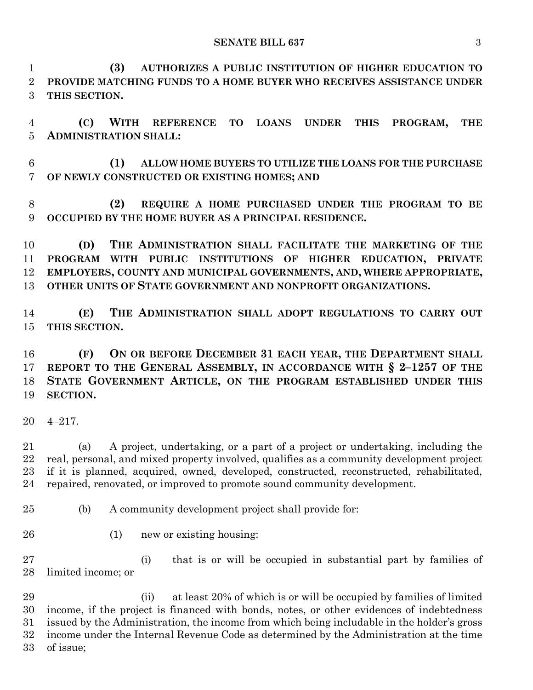**(3) AUTHORIZES A PUBLIC INSTITUTION OF HIGHER EDUCATION TO PROVIDE MATCHING FUNDS TO A HOME BUYER WHO RECEIVES ASSISTANCE UNDER THIS SECTION.**

 **(C) WITH REFERENCE TO LOANS UNDER THIS PROGRAM, THE ADMINISTRATION SHALL:**

 **(1) ALLOW HOME BUYERS TO UTILIZE THE LOANS FOR THE PURCHASE OF NEWLY CONSTRUCTED OR EXISTING HOMES; AND**

 **(2) REQUIRE A HOME PURCHASED UNDER THE PROGRAM TO BE OCCUPIED BY THE HOME BUYER AS A PRINCIPAL RESIDENCE.**

 **(D) THE ADMINISTRATION SHALL FACILITATE THE MARKETING OF THE PROGRAM WITH PUBLIC INSTITUTIONS OF HIGHER EDUCATION, PRIVATE EMPLOYERS, COUNTY AND MUNICIPAL GOVERNMENTS, AND, WHERE APPROPRIATE, OTHER UNITS OF STATE GOVERNMENT AND NONPROFIT ORGANIZATIONS.**

 **(E) THE ADMINISTRATION SHALL ADOPT REGULATIONS TO CARRY OUT THIS SECTION.**

 **(F) ON OR BEFORE DECEMBER 31 EACH YEAR, THE DEPARTMENT SHALL REPORT TO THE GENERAL ASSEMBLY, IN ACCORDANCE WITH § 2–1257 OF THE STATE GOVERNMENT ARTICLE, ON THE PROGRAM ESTABLISHED UNDER THIS SECTION.**

4–217.

 (a) A project, undertaking, or a part of a project or undertaking, including the real, personal, and mixed property involved, qualifies as a community development project if it is planned, acquired, owned, developed, constructed, reconstructed, rehabilitated, repaired, renovated, or improved to promote sound community development.

- (b) A community development project shall provide for:
- 
- (1) new or existing housing:

 (i) that is or will be occupied in substantial part by families of limited income; or

 (ii) at least 20% of which is or will be occupied by families of limited income, if the project is financed with bonds, notes, or other evidences of indebtedness issued by the Administration, the income from which being includable in the holder's gross income under the Internal Revenue Code as determined by the Administration at the time of issue;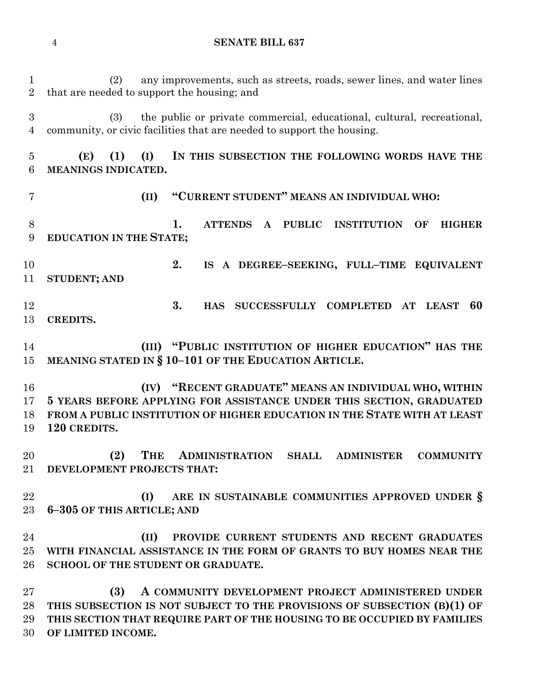(2) any improvements, such as streets, roads, sewer lines, and water lines that are needed to support the housing; and (3) the public or private commercial, educational, cultural, recreational, community, or civic facilities that are needed to support the housing. **(E) (1) (I) IN THIS SUBSECTION THE FOLLOWING WORDS HAVE THE MEANINGS INDICATED. (II) "CURRENT STUDENT" MEANS AN INDIVIDUAL WHO: 1. ATTENDS A PUBLIC INSTITUTION OF HIGHER EDUCATION IN THE STATE; 2. IS A DEGREE–SEEKING, FULL–TIME EQUIVALENT STUDENT; AND 3. HAS SUCCESSFULLY COMPLETED AT LEAST 60 CREDITS. (III) "PUBLIC INSTITUTION OF HIGHER EDUCATION" HAS THE MEANING STATED IN § 10–101 OF THE EDUCATION ARTICLE. (IV) "RECENT GRADUATE" MEANS AN INDIVIDUAL WHO, WITHIN 5 YEARS BEFORE APPLYING FOR ASSISTANCE UNDER THIS SECTION, GRADUATED FROM A PUBLIC INSTITUTION OF HIGHER EDUCATION IN THE STATE WITH AT LEAST 120 CREDITS. (2) THE ADMINISTRATION SHALL ADMINISTER COMMUNITY DEVELOPMENT PROJECTS THAT: (I) ARE IN SUSTAINABLE COMMUNITIES APPROVED UNDER § 6–305 OF THIS ARTICLE; AND (II) PROVIDE CURRENT STUDENTS AND RECENT GRADUATES WITH FINANCIAL ASSISTANCE IN THE FORM OF GRANTS TO BUY HOMES NEAR THE SCHOOL OF THE STUDENT OR GRADUATE. (3) A COMMUNITY DEVELOPMENT PROJECT ADMINISTERED UNDER THIS SUBSECTION IS NOT SUBJECT TO THE PROVISIONS OF SUBSECTION (B)(1) OF THIS SECTION THAT REQUIRE PART OF THE HOUSING TO BE OCCUPIED BY FAMILIES OF LIMITED INCOME.**

**SENATE BILL 637**